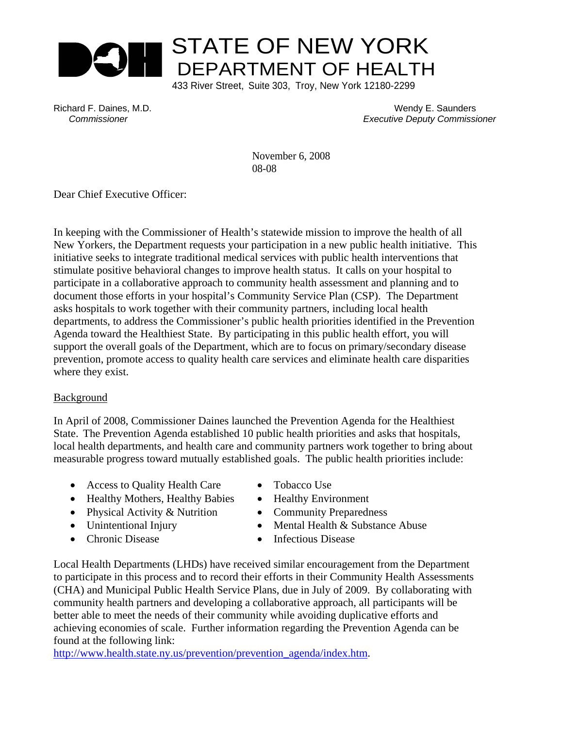

Richard F. Daines, M.D. Wendy E. Saunders  *Commissioner Executive Deputy Commissioner*

> November 6, 2008 08-08

Dear Chief Executive Officer:

In keeping with the Commissioner of Health's statewide mission to improve the health of all New Yorkers, the Department requests your participation in a new public health initiative. This initiative seeks to integrate traditional medical services with public health interventions that stimulate positive behavioral changes to improve health status. It calls on your hospital to participate in a collaborative approach to community health assessment and planning and to document those efforts in your hospital's Community Service Plan (CSP). The Department asks hospitals to work together with their community partners, including local health departments, to address the Commissioner's public health priorities identified in the Prevention Agenda toward the Healthiest State. By participating in this public health effort, you will support the overall goals of the Department, which are to focus on primary/secondary disease prevention, promote access to quality health care services and eliminate health care disparities where they exist.

#### Background

In April of 2008, Commissioner Daines launched the Prevention Agenda for the Healthiest State. The Prevention Agenda established 10 public health priorities and asks that hospitals, local health departments, and health care and community partners work together to bring about measurable progress toward mutually established goals. The public health priorities include:

- Access to Quality Health Care Tobacco Use
- Healthy Mothers, Healthy Babies Healthy Environment
- Physical Activity & Nutrition Community Preparedness
- 
- 
- 
- 
- 
- Unintentional Injury Mental Health & Substance Abuse
- Chronic Disease Infectious Disease

Local Health Departments (LHDs) have received similar encouragement from the Department to participate in this process and to record their efforts in their Community Health Assessments (CHA) and Municipal Public Health Service Plans, due in July of 2009. By collaborating with community health partners and developing a collaborative approach, all participants will be better able to meet the needs of their community while avoiding duplicative efforts and achieving economies of scale. Further information regarding the Prevention Agenda can be found at the following link:

http://www.health.state.ny.us/prevention/prevention\_agenda/index.htm.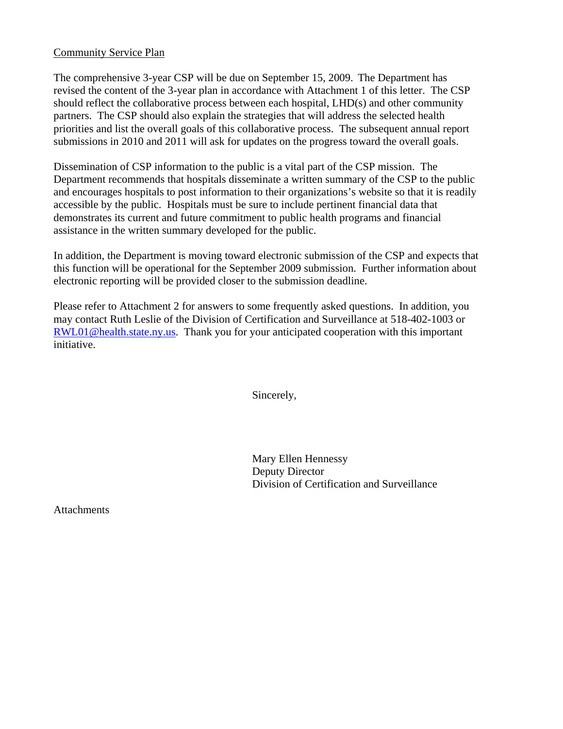#### Community Service Plan

The comprehensive 3-year CSP will be due on September 15, 2009. The Department has revised the content of the 3-year plan in accordance with Attachment 1 of this letter. The CSP should reflect the collaborative process between each hospital, LHD(s) and other community partners. The CSP should also explain the strategies that will address the selected health priorities and list the overall goals of this collaborative process. The subsequent annual report submissions in 2010 and 2011 will ask for updates on the progress toward the overall goals.

Dissemination of CSP information to the public is a vital part of the CSP mission. The Department recommends that hospitals disseminate a written summary of the CSP to the public and encourages hospitals to post information to their organizations's website so that it is readily accessible by the public. Hospitals must be sure to include pertinent financial data that demonstrates its current and future commitment to public health programs and financial assistance in the written summary developed for the public.

In addition, the Department is moving toward electronic submission of the CSP and expects that this function will be operational for the September 2009 submission. Further information about electronic reporting will be provided closer to the submission deadline.

Please refer to Attachment 2 for answers to some frequently asked questions. In addition, you may contact Ruth Leslie of the Division of Certification and Surveillance at 518-402-1003 or RWL01@health.state.ny.us. Thank you for your anticipated cooperation with this important initiative.

Sincerely,

Mary Ellen Hennessy Deputy Director Division of Certification and Surveillance

**Attachments**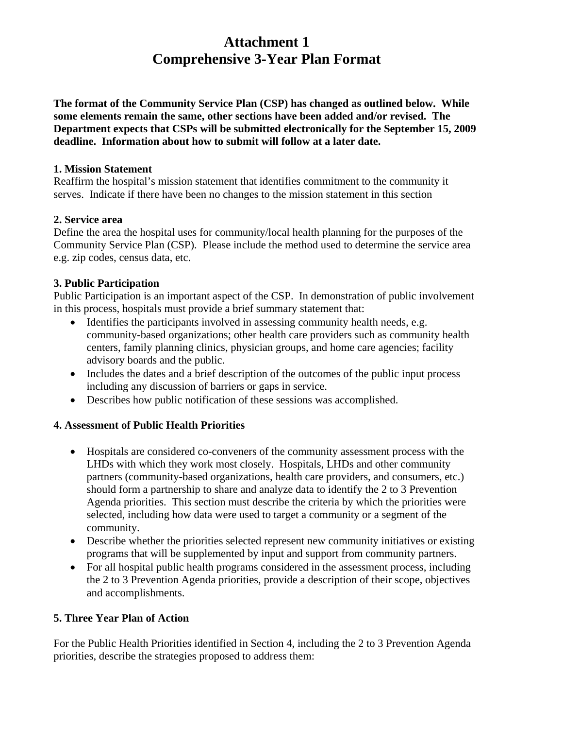# **Attachment 1 Comprehensive 3-Year Plan Format**

**The format of the Community Service Plan (CSP) has changed as outlined below. While some elements remain the same, other sections have been added and/or revised. The Department expects that CSPs will be submitted electronically for the September 15, 2009 deadline. Information about how to submit will follow at a later date.**

#### **1. Mission Statement**

Reaffirm the hospital's mission statement that identifies commitment to the community it serves. Indicate if there have been no changes to the mission statement in this section

## **2. Service area**

Define the area the hospital uses for community/local health planning for the purposes of the Community Service Plan (CSP). Please include the method used to determine the service area e.g. zip codes, census data, etc.

# **3. Public Participation**

Public Participation is an important aspect of the CSP. In demonstration of public involvement in this process, hospitals must provide a brief summary statement that:

- Identifies the participants involved in assessing community health needs, e.g. community-based organizations; other health care providers such as community health centers, family planning clinics, physician groups, and home care agencies; facility advisory boards and the public.
- Includes the dates and a brief description of the outcomes of the public input process including any discussion of barriers or gaps in service.
- Describes how public notification of these sessions was accomplished.

# **4. Assessment of Public Health Priorities**

- Hospitals are considered co-conveners of the community assessment process with the LHDs with which they work most closely. Hospitals, LHDs and other community partners (community-based organizations, health care providers, and consumers, etc.) should form a partnership to share and analyze data to identify the 2 to 3 Prevention Agenda priorities. This section must describe the criteria by which the priorities were selected, including how data were used to target a community or a segment of the community.
- Describe whether the priorities selected represent new community initiatives or existing programs that will be supplemented by input and support from community partners.
- For all hospital public health programs considered in the assessment process, including the 2 to 3 Prevention Agenda priorities, provide a description of their scope, objectives and accomplishments.

# **5. Three Year Plan of Action**

For the Public Health Priorities identified in Section 4, including the 2 to 3 Prevention Agenda priorities, describe the strategies proposed to address them: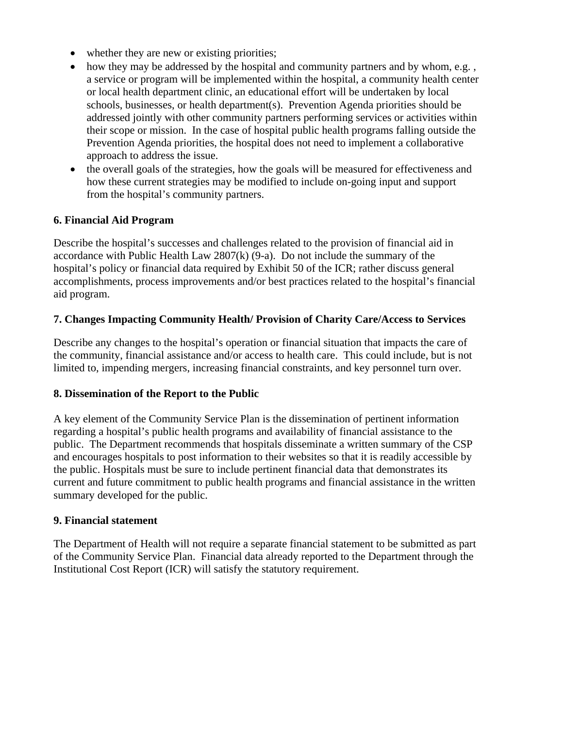- whether they are new or existing priorities;
- how they may be addressed by the hospital and community partners and by whom, e.g., a service or program will be implemented within the hospital, a community health center or local health department clinic, an educational effort will be undertaken by local schools, businesses, or health department(s). Prevention Agenda priorities should be addressed jointly with other community partners performing services or activities within their scope or mission. In the case of hospital public health programs falling outside the Prevention Agenda priorities, the hospital does not need to implement a collaborative approach to address the issue.
- the overall goals of the strategies, how the goals will be measured for effectiveness and how these current strategies may be modified to include on-going input and support from the hospital's community partners.

## **6. Financial Aid Program**

Describe the hospital's successes and challenges related to the provision of financial aid in accordance with Public Health Law  $2807(k)$  (9-a). Do not include the summary of the hospital's policy or financial data required by Exhibit 50 of the ICR; rather discuss general accomplishments, process improvements and/or best practices related to the hospital's financial aid program.

#### **7. Changes Impacting Community Health/ Provision of Charity Care/Access to Services**

Describe any changes to the hospital's operation or financial situation that impacts the care of the community, financial assistance and/or access to health care. This could include, but is not limited to, impending mergers, increasing financial constraints, and key personnel turn over.

#### **8. Dissemination of the Report to the Public**

A key element of the Community Service Plan is the dissemination of pertinent information regarding a hospital's public health programs and availability of financial assistance to the public. The Department recommends that hospitals disseminate a written summary of the CSP and encourages hospitals to post information to their websites so that it is readily accessible by the public. Hospitals must be sure to include pertinent financial data that demonstrates its current and future commitment to public health programs and financial assistance in the written summary developed for the public.

#### **9. Financial statement**

The Department of Health will not require a separate financial statement to be submitted as part of the Community Service Plan. Financial data already reported to the Department through the Institutional Cost Report (ICR) will satisfy the statutory requirement.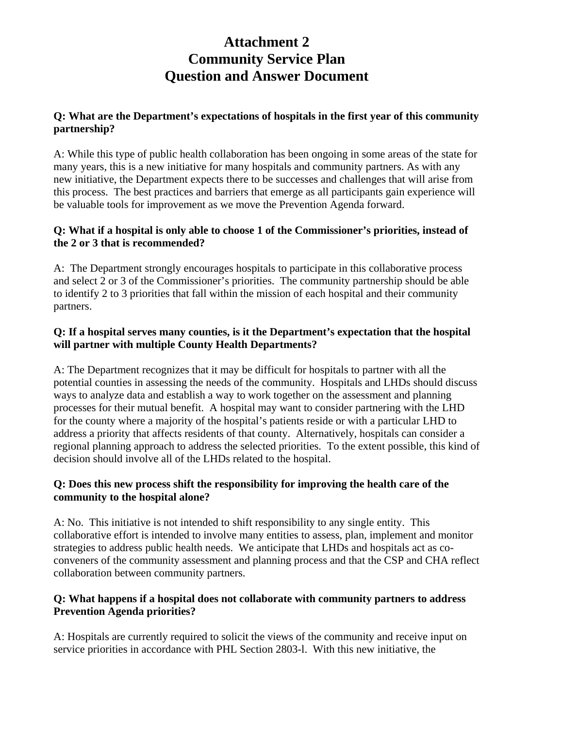# **Attachment 2 Community Service Plan Question and Answer Document**

## **Q: What are the Department's expectations of hospitals in the first year of this community partnership?**

A: While this type of public health collaboration has been ongoing in some areas of the state for many years, this is a new initiative for many hospitals and community partners. As with any new initiative, the Department expects there to be successes and challenges that will arise from this process. The best practices and barriers that emerge as all participants gain experience will be valuable tools for improvement as we move the Prevention Agenda forward.

## **Q: What if a hospital is only able to choose 1 of the Commissioner's priorities, instead of the 2 or 3 that is recommended?**

A: The Department strongly encourages hospitals to participate in this collaborative process and select 2 or 3 of the Commissioner's priorities. The community partnership should be able to identify 2 to 3 priorities that fall within the mission of each hospital and their community partners.

## **Q: If a hospital serves many counties, is it the Department's expectation that the hospital will partner with multiple County Health Departments?**

A: The Department recognizes that it may be difficult for hospitals to partner with all the potential counties in assessing the needs of the community. Hospitals and LHDs should discuss ways to analyze data and establish a way to work together on the assessment and planning processes for their mutual benefit. A hospital may want to consider partnering with the LHD for the county where a majority of the hospital's patients reside or with a particular LHD to address a priority that affects residents of that county. Alternatively, hospitals can consider a regional planning approach to address the selected priorities. To the extent possible, this kind of decision should involve all of the LHDs related to the hospital.

## **Q: Does this new process shift the responsibility for improving the health care of the community to the hospital alone?**

A: No. This initiative is not intended to shift responsibility to any single entity. This collaborative effort is intended to involve many entities to assess, plan, implement and monitor strategies to address public health needs. We anticipate that LHDs and hospitals act as coconveners of the community assessment and planning process and that the CSP and CHA reflect collaboration between community partners.

## **Q: What happens if a hospital does not collaborate with community partners to address Prevention Agenda priorities?**

A: Hospitals are currently required to solicit the views of the community and receive input on service priorities in accordance with PHL Section 2803-l. With this new initiative, the